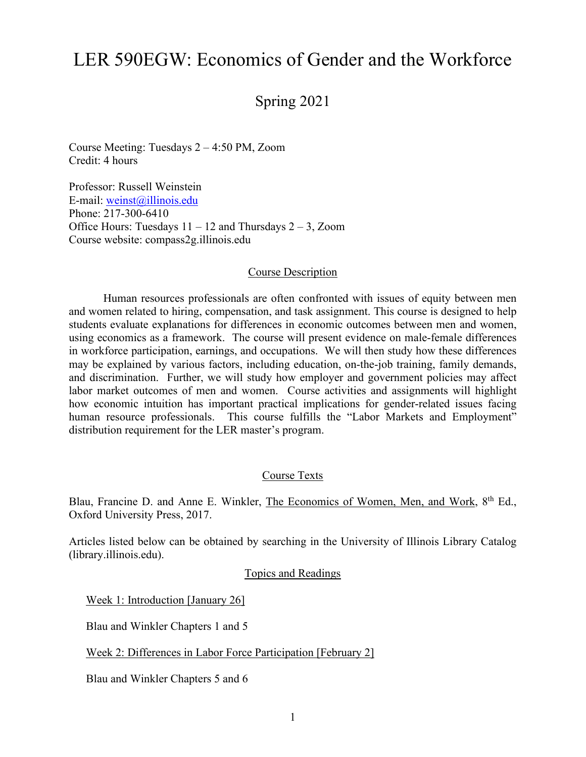# LER 590EGW: Economics of Gender and the Workforce

# Spring 2021

Course Meeting: Tuesdays 2 – 4:50 PM, Zoom Credit: 4 hours

Professor: Russell Weinstein E-mail: [weinst@illinois.edu](mailto:weinst@illinois.edu) Phone: 217-300-6410 Office Hours: Tuesdays  $11 - 12$  and Thursdays  $2 - 3$ , Zoom Course website: compass2g.illinois.edu

#### Course Description

Human resources professionals are often confronted with issues of equity between men and women related to hiring, compensation, and task assignment. This course is designed to help students evaluate explanations for differences in economic outcomes between men and women, using economics as a framework. The course will present evidence on male-female differences in workforce participation, earnings, and occupations. We will then study how these differences may be explained by various factors, including education, on-the-job training, family demands, and discrimination. Further, we will study how employer and government policies may affect labor market outcomes of men and women. Course activities and assignments will highlight how economic intuition has important practical implications for gender-related issues facing human resource professionals. This course fulfills the "Labor Markets and Employment" distribution requirement for the LER master's program.

#### Course Texts

Blau, Francine D. and Anne E. Winkler, The Economics of Women, Men, and Work, 8<sup>th</sup> Ed., Oxford University Press, 2017.

Articles listed below can be obtained by searching in the University of Illinois Library Catalog (library.illinois.edu).

#### Topics and Readings

Week 1: Introduction [January 26]

Blau and Winkler Chapters 1 and 5

Week 2: Differences in Labor Force Participation [February 2]

Blau and Winkler Chapters 5 and 6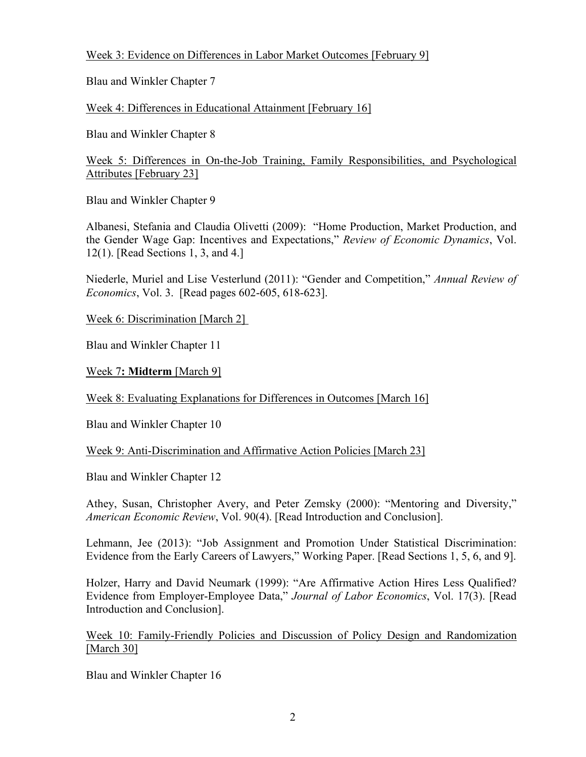# Week 3: Evidence on Differences in Labor Market Outcomes [February 9]

Blau and Winkler Chapter 7

Week 4: Differences in Educational Attainment [February 16]

Blau and Winkler Chapter 8

Week 5: Differences in On-the-Job Training, Family Responsibilities, and Psychological Attributes [February 23]

Blau and Winkler Chapter 9

Albanesi, Stefania and Claudia Olivetti (2009): "Home Production, Market Production, and the Gender Wage Gap: Incentives and Expectations," *Review of Economic Dynamics*, Vol. 12(1). [Read Sections 1, 3, and 4.]

Niederle, Muriel and Lise Vesterlund (2011): "Gender and Competition," *Annual Review of Economics*, Vol. 3. [Read pages 602-605, 618-623].

Week 6: Discrimination [March 2]

Blau and Winkler Chapter 11

Week 7**: Midterm** [March 9]

Week 8: Evaluating Explanations for Differences in Outcomes [March 16]

Blau and Winkler Chapter 10

Week 9: Anti-Discrimination and Affirmative Action Policies [March 23]

Blau and Winkler Chapter 12

Athey, Susan, Christopher Avery, and Peter Zemsky (2000): "Mentoring and Diversity," *American Economic Review*, Vol. 90(4). [Read Introduction and Conclusion].

Lehmann, Jee (2013): "Job Assignment and Promotion Under Statistical Discrimination: Evidence from the Early Careers of Lawyers," Working Paper. [Read Sections 1, 5, 6, and 9].

Holzer, Harry and David Neumark (1999): "Are Affirmative Action Hires Less Qualified? Evidence from Employer-Employee Data," *Journal of Labor Economics*, Vol. 17(3). [Read Introduction and Conclusion].

Week 10: Family-Friendly Policies and Discussion of Policy Design and Randomization [March 30]

Blau and Winkler Chapter 16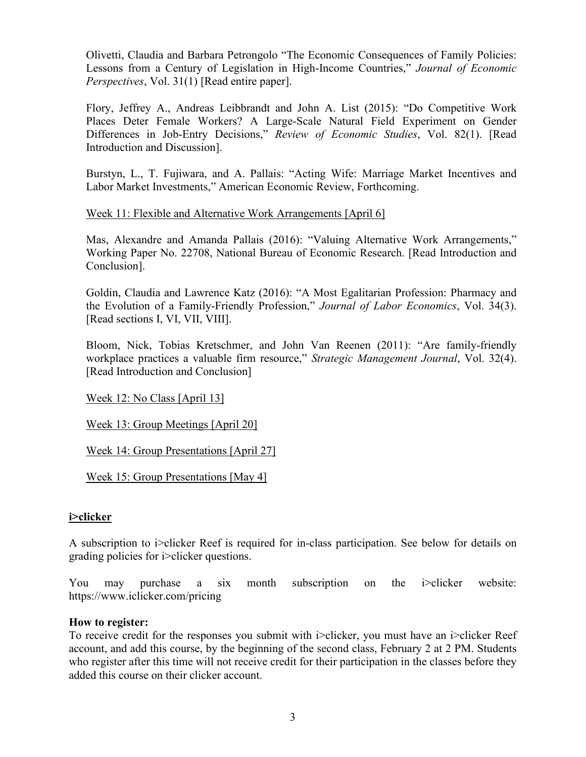Olivetti, Claudia and Barbara Petrongolo "The Economic Consequences of Family Policies: Lessons from a Century of Legislation in High-Income Countries," *Journal of Economic Perspectives*, Vol. 31(1) [Read entire paper].

Flory, Jeffrey A., Andreas Leibbrandt and John A. List (2015): "Do Competitive Work Places Deter Female Workers? A Large-Scale Natural Field Experiment on Gender Differences in Job-Entry Decisions," *Review of Economic Studies*, Vol. 82(1). [Read Introduction and Discussion].

Burstyn, L., T. Fujiwara, and A. Pallais: "Acting Wife: Marriage Market Incentives and Labor Market Investments," American Economic Review, Forthcoming.

# Week 11: Flexible and Alternative Work Arrangements [April 6]

Mas, Alexandre and Amanda Pallais (2016): "Valuing Alternative Work Arrangements," Working Paper No. 22708, National Bureau of Economic Research. [Read Introduction and Conclusion].

Goldin, Claudia and Lawrence Katz (2016): "A Most Egalitarian Profession: Pharmacy and the Evolution of a Family-Friendly Profession," *Journal of Labor Economics*, Vol. 34(3). [Read sections I, VI, VII, VIII].

Bloom, Nick, Tobias Kretschmer, and John Van Reenen (2011): "Are family-friendly workplace practices a valuable firm resource," *Strategic Management Journal*, Vol. 32(4). [Read Introduction and Conclusion]

Week 12: No Class [April 13]

Week 13: Group Meetings [April 20]

Week 14: Group Presentations [April 27]

Week 15: Group Presentations [May 4]

#### **i>clicker**

A subscription to i>clicker Reef is required for in-class participation. See below for details on grading policies for i>clicker questions.

You may purchase a six month subscription on the i>clicker website: https://www.iclicker.com/pricing

#### **How to register:**

To receive credit for the responses you submit with i>clicker, you must have an i>clicker Reef account, and add this course, by the beginning of the second class, February 2 at 2 PM. Students who register after this time will not receive credit for their participation in the classes before they added this course on their clicker account.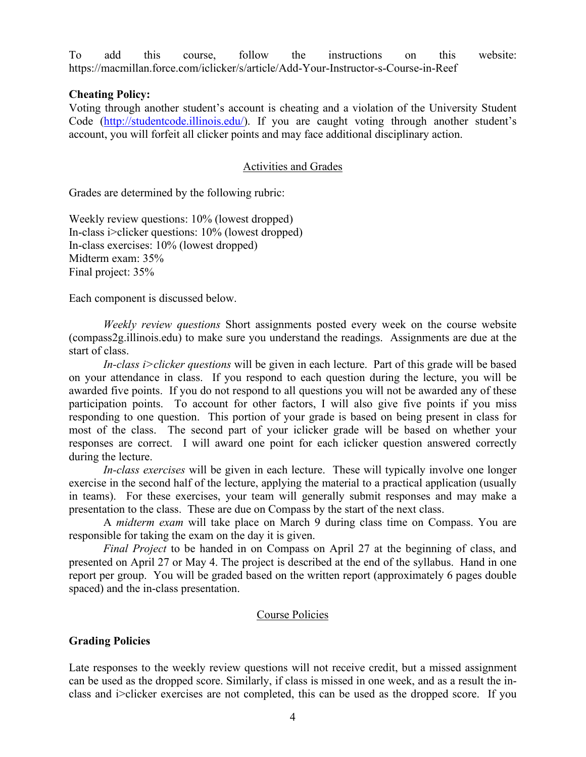To add this course, follow the instructions on this website: https://macmillan.force.com/iclicker/s/article/Add-Your-Instructor-s-Course-in-Reef

#### **Cheating Policy:**

Voting through another student's account is cheating and a violation of the University Student Code [\(http://studentcode.illinois.edu/\)](http://studentcode.illinois.edu/). If you are caught voting through another student's account, you will forfeit all clicker points and may face additional disciplinary action.

#### Activities and Grades

Grades are determined by the following rubric:

Weekly review questions: 10% (lowest dropped) In-class i>clicker questions: 10% (lowest dropped) In-class exercises: 10% (lowest dropped) Midterm exam: 35% Final project: 35%

Each component is discussed below.

*Weekly review questions* Short assignments posted every week on the course website (compass2g.illinois.edu) to make sure you understand the readings. Assignments are due at the start of class.

*In-class i>clicker questions* will be given in each lecture. Part of this grade will be based on your attendance in class. If you respond to each question during the lecture, you will be awarded five points. If you do not respond to all questions you will not be awarded any of these participation points. To account for other factors, I will also give five points if you miss responding to one question. This portion of your grade is based on being present in class for most of the class. The second part of your iclicker grade will be based on whether your responses are correct. I will award one point for each iclicker question answered correctly during the lecture.

*In-class exercises* will be given in each lecture. These will typically involve one longer exercise in the second half of the lecture, applying the material to a practical application (usually in teams). For these exercises, your team will generally submit responses and may make a presentation to the class. These are due on Compass by the start of the next class.

A *midterm exam* will take place on March 9 during class time on Compass. You are responsible for taking the exam on the day it is given.

*Final Project* to be handed in on Compass on April 27 at the beginning of class, and presented on April 27 or May 4. The project is described at the end of the syllabus. Hand in one report per group. You will be graded based on the written report (approximately 6 pages double spaced) and the in-class presentation.

#### Course Policies

#### **Grading Policies**

Late responses to the weekly review questions will not receive credit, but a missed assignment can be used as the dropped score. Similarly, if class is missed in one week, and as a result the inclass and i>clicker exercises are not completed, this can be used as the dropped score. If you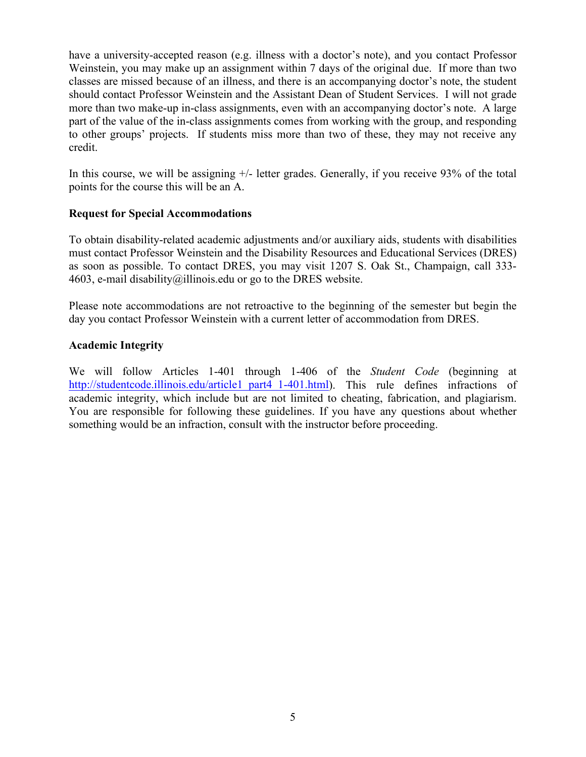have a university-accepted reason (e.g. illness with a doctor's note), and you contact Professor Weinstein, you may make up an assignment within 7 days of the original due. If more than two classes are missed because of an illness, and there is an accompanying doctor's note, the student should contact Professor Weinstein and the Assistant Dean of Student Services. I will not grade more than two make-up in-class assignments, even with an accompanying doctor's note. A large part of the value of the in-class assignments comes from working with the group, and responding to other groups' projects. If students miss more than two of these, they may not receive any credit.

In this course, we will be assigning  $+/-$  letter grades. Generally, if you receive 93% of the total points for the course this will be an A.

# **Request for Special Accommodations**

To obtain disability-related academic adjustments and/or auxiliary aids, students with disabilities must contact Professor Weinstein and the Disability Resources and Educational Services (DRES) as soon as possible. To contact DRES, you may visit 1207 S. Oak St., Champaign, call 333 4603, e-mail [disability@illinois.edu](mailto:disability@uiuc.edu) or go to the [DRES website.](http://disability.illinois.edu/)

Please note accommodations are not retroactive to the beginning of the semester but begin the day you contact Professor Weinstein with a current letter of accommodation from DRES.

# **Academic Integrity**

We will follow Articles 1-401 through 1-406 of the *Student Code* (beginning at [http://studentcode.illinois.edu/article1\\_part4\\_1-401.html\)](http://studentcode.illinois.edu/article1_part4_1-401.html). This rule defines infractions of academic integrity, which include but are not limited to cheating, fabrication, and plagiarism. You are responsible for following these guidelines. If you have any questions about whether something would be an infraction, consult with the instructor before proceeding.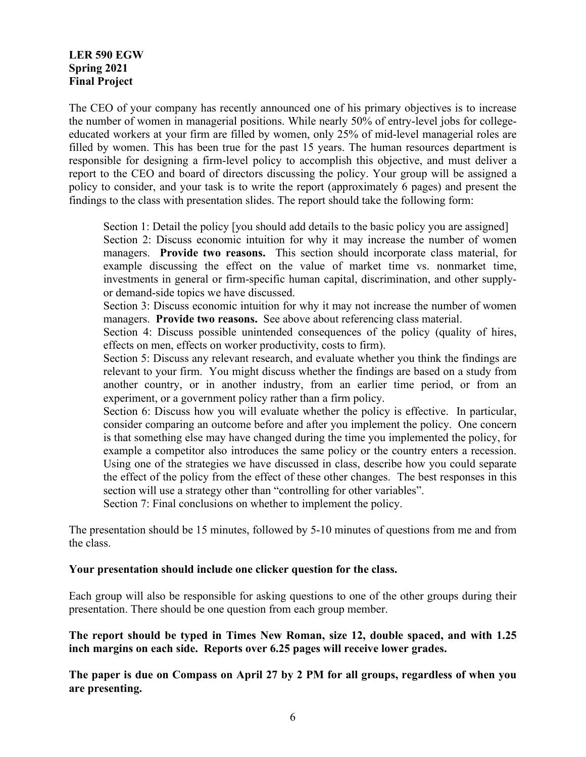# **LER 590 EGW Spring 2021 Final Project**

The CEO of your company has recently announced one of his primary objectives is to increase the number of women in managerial positions. While nearly 50% of entry-level jobs for collegeeducated workers at your firm are filled by women, only 25% of mid-level managerial roles are filled by women. This has been true for the past 15 years. The human resources department is responsible for designing a firm-level policy to accomplish this objective, and must deliver a report to the CEO and board of directors discussing the policy. Your group will be assigned a policy to consider, and your task is to write the report (approximately 6 pages) and present the findings to the class with presentation slides. The report should take the following form:

Section 1: Detail the policy [you should add details to the basic policy you are assigned]

Section 2: Discuss economic intuition for why it may increase the number of women managers. **Provide two reasons.** This section should incorporate class material, for example discussing the effect on the value of market time vs. nonmarket time, investments in general or firm-specific human capital, discrimination, and other supplyor demand-side topics we have discussed.

Section 3: Discuss economic intuition for why it may not increase the number of women managers. **Provide two reasons.** See above about referencing class material.

Section 4: Discuss possible unintended consequences of the policy (quality of hires, effects on men, effects on worker productivity, costs to firm).

Section 5: Discuss any relevant research, and evaluate whether you think the findings are relevant to your firm. You might discuss whether the findings are based on a study from another country, or in another industry, from an earlier time period, or from an experiment, or a government policy rather than a firm policy.

Section 6: Discuss how you will evaluate whether the policy is effective. In particular, consider comparing an outcome before and after you implement the policy. One concern is that something else may have changed during the time you implemented the policy, for example a competitor also introduces the same policy or the country enters a recession. Using one of the strategies we have discussed in class, describe how you could separate the effect of the policy from the effect of these other changes. The best responses in this section will use a strategy other than "controlling for other variables".

Section 7: Final conclusions on whether to implement the policy.

The presentation should be 15 minutes, followed by 5-10 minutes of questions from me and from the class.

#### **Your presentation should include one clicker question for the class.**

Each group will also be responsible for asking questions to one of the other groups during their presentation. There should be one question from each group member.

**The report should be typed in Times New Roman, size 12, double spaced, and with 1.25 inch margins on each side. Reports over 6.25 pages will receive lower grades.**

**The paper is due on Compass on April 27 by 2 PM for all groups, regardless of when you are presenting.**